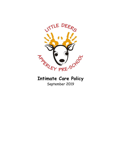

# **Intimate Care Policy** September 2019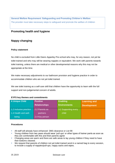**General Welfare Requirement: Safeguarding and Promoting Children's Welfare** The provider must take necessary steps to safeguard and promote the welfare of children

### **Promoting health and hygiene**

## **Nappy changing**

#### **Policy statement**

No child is excluded from Little Deers Apperley Pre-school who may, for any reason, not yet be toilet trained and who may still be wearing nappies or equivalent. We work with parents towards toilet training, unless there are medical or other developmental reasons why this may not be appropriate at the time.

We make necessary adjustments to our bathroom provision and hygiene practice in order to accommodate children who are not yet toilet trained.

We see toilet training as a self-care skill that children have the opportunity to learn with the full support and non-judgemental concern of adults.

#### **EYFS key themes and commitments**

| <b>A Unique Child</b>  | <b>Positive</b>      | <b>Enabling</b>      | <b>Learning and</b> |
|------------------------|----------------------|----------------------|---------------------|
|                        | <b>Relationships</b> | <b>Environments</b>  | <b>Development</b>  |
| 1.2 Inclusive practice | 2.2 Parents as       | 3.2 Supporting every |                     |
| 1.4 Health and well-   | partners             | child                |                     |
| being                  | 2.4 Key person       |                      |                     |

#### **Procedures**

- All staff will already have enhanced DBS clearance or List 99
- Young children from two years should wear 'pull ups' or other types of trainer pants as soon as they are comfortable with this and their parents agree
- Changing areas are warm and there are safe areas to lay young children if they need to have their bottoms cleaned.
- We request that parents of children not yet toilet trained send in a named bag to every session, to include a supply of nappies/pull-ups, nappy sacks and wipes.